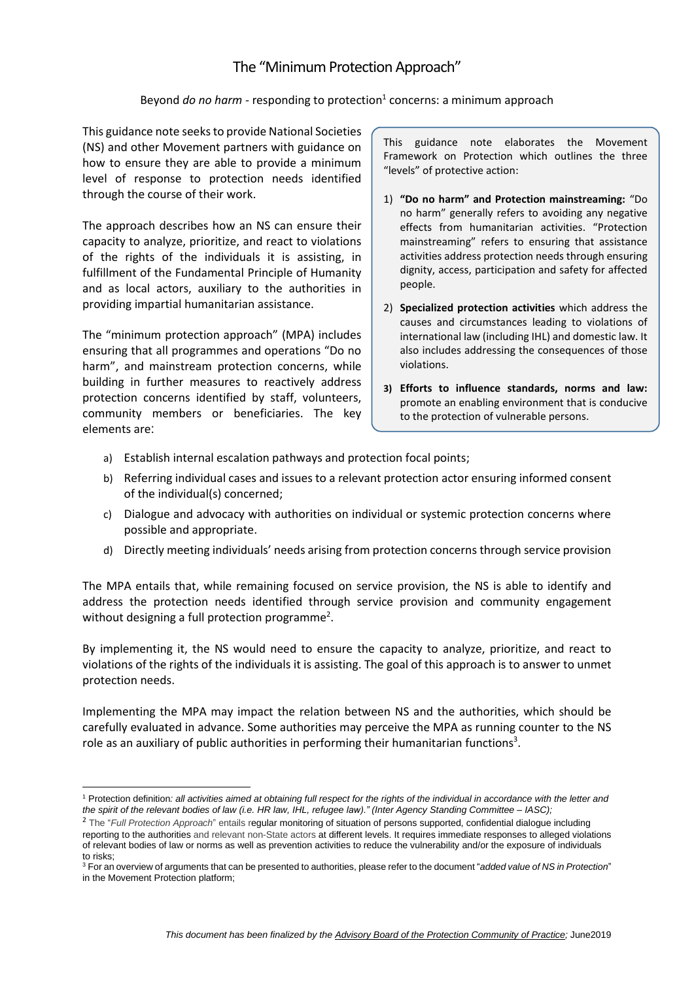# The "Minimum Protection Approach"

## Beyond *do no harm* - responding to protection<sup>1</sup> concerns: a minimum approach

This guidance note seeks to provide National Societies (NS) and other Movement partners with guidance on how to ensure they are able to provide a minimum level of response to protection needs identified through the course of their work.

The approach describes how an NS can ensure their capacity to analyze, prioritize, and react to violations of the rights of the individuals it is assisting, in fulfillment of the Fundamental Principle of Humanity and as local actors, auxiliary to the authorities in providing impartial humanitarian assistance.

The "minimum protection approach" (MPA) includes ensuring that all programmes and operations "Do no harm", and mainstream protection concerns, while building in further measures to reactively address protection concerns identified by staff, volunteers, community members or beneficiaries. The key elements are:

This guidance note elaborates the Movement Framework on Protection which outlines the three "levels" of protective action:

- 1) **"Do no harm" and Protection mainstreaming:** "Do no harm" generally refers to avoiding any negative effects from humanitarian activities. "Protection mainstreaming" refers to ensuring that assistance activities address protection needs through ensuring dignity, access, participation and safety for affected people.
- 2) **Specialized protection activities** which address the causes and circumstances leading to violations of international law (including IHL) and domestic law. It also includes addressing the consequences of those violations.
- **3) Efforts to influence standards, norms and law:**  promote an enabling environment that is conducive to the protection of vulnerable persons.
- a) Establish internal escalation pathways and protection focal points;
- b) Referring individual cases and issues to a relevant protection actor ensuring informed consent of the individual(s) concerned;
- c) Dialogue and advocacy with authorities on individual or systemic protection concerns where possible and appropriate.
- d) Directly meeting individuals' needs arising from protection concerns through service provision

The MPA entails that, while remaining focused on service provision, the NS is able to identify and address the protection needs identified through service provision and community engagement without designing a full protection programme<sup>2</sup>.

By implementing it, the NS would need to ensure the capacity to analyze, prioritize, and react to violations of the rights of the individuals it is assisting. The goal of this approach is to answer to unmet protection needs.

Implementing the MPA may impact the relation between NS and the authorities, which should be carefully evaluated in advance. Some authorities may perceive the MPA as running counter to the NS role as an auxiliary of public authorities in performing their humanitarian functions<sup>3</sup>.

<sup>&</sup>lt;sup>1</sup> Protection definition: all activities aimed at obtaining full respect for the rights of the individual in accordance with the letter and the spirit of the relevant bodies of law (i.e. HR law, IHL, refugee law)." (Inter Agency Standing Committee - IASC);

<sup>2</sup> The "*Full Protection Approach*" entails regular monitoring of situation of persons supported, confidential dialogue including reporting to the authorities and relevant non-State actors at different levels. It requires immediate responses to alleged violations of relevant bodies of law or norms as well as prevention activities to reduce the vulnerability and/or the exposure of individuals to risks;

<sup>3</sup> For an overview of arguments that can be presented to authorities, please refer to the document "*added value of NS in Protection*" in the Movement Protection platform;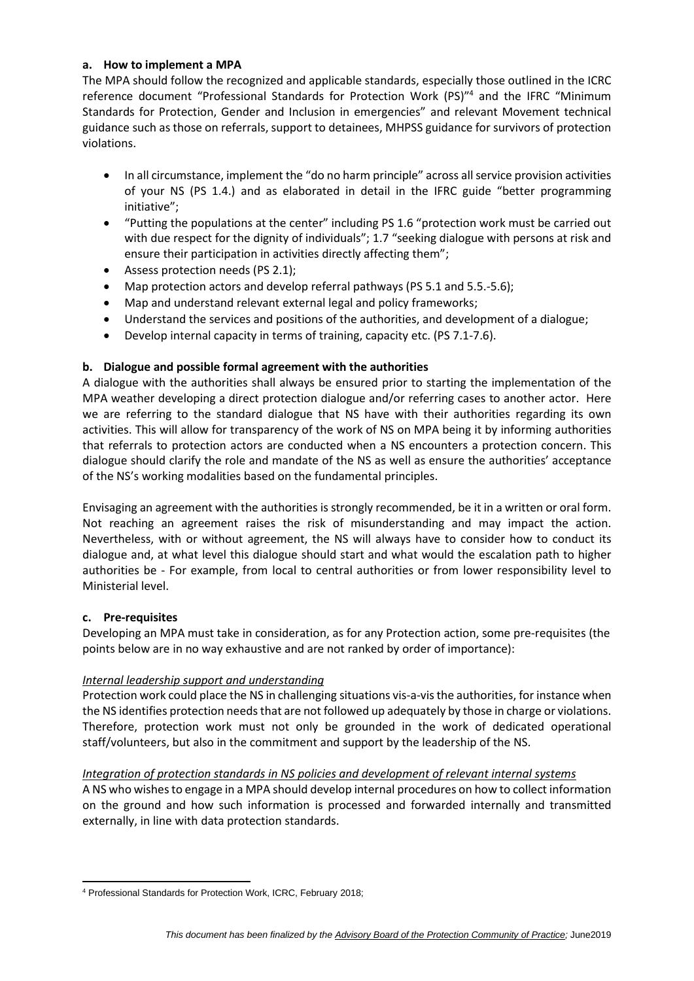## **a. How to implement a MPA**

The MPA should follow the recognized and applicable standards, especially those outlined in the ICRC reference document ["Professional](https://communities.ext.icrc.org/external-link.jspa?url=https%3A%2F%2Fshop.icrc.org%2Fprofessional-standards-for-protection-work-carried-out-by-humanitarian-and-human-rights-actors-in-armed-conflict-and-other-situations-of-violence-2545.html%3F___store%3Ddefault) Standards for Protection Work (PS)"<sup>4</sup> and the IFRC "Minimum Standards for Protection, Gender and Inclusion in emergencies" and relevant Movement technical guidance such as those on referrals, support to detainees, MHPSS guidance for survivors of protection violations.

- In all circumstance, implement the "do no harm principle" across all service provision activities of your NS (PS 1.4.) and as elaborated in detail in the IFRC guide "better programming initiative";
- "Putting the populations at the center" including PS 1.6 "protection work must be carried out with due respect for the dignity of individuals"; 1.7 "seeking dialogue with persons at risk and ensure their participation in activities directly affecting them";
- Assess protection needs (PS 2.1);
- Map protection actors and develop referral pathways (PS 5.1 and 5.5.-5.6);
- Map and understand relevant external legal and policy frameworks;
- Understand the services and positions of the authorities, and development of a dialogue;
- Develop internal capacity in terms of training, capacity etc. (PS 7.1-7.6).

# **b. Dialogue and possible formal agreement with the authorities**

A dialogue with the authorities shall always be ensured prior to starting the implementation of the MPA weather developing a direct protection dialogue and/or referring cases to another actor. Here we are referring to the standard dialogue that NS have with their authorities regarding its own activities. This will allow for transparency of the work of NS on MPA being it by informing authorities that referrals to protection actors are conducted when a NS encounters a protection concern. This dialogue should clarify the role and mandate of the NS as well as ensure the authorities' acceptance of the NS's working modalities based on the fundamental principles.

Envisaging an agreement with the authorities is strongly recommended, be it in a written or oral form. Not reaching an agreement raises the risk of misunderstanding and may impact the action. Nevertheless, with or without agreement, the NS will always have to consider how to conduct its dialogue and, at what level this dialogue should start and what would the escalation path to higher authorities be - For example, from local to central authorities or from lower responsibility level to Ministerial level.

#### **c. Pre-requisites**

Developing an MPA must take in consideration, as for any Protection action, some pre-requisites (the points below are in no way exhaustive and are not ranked by order of importance):

# *Internal leadership support and understanding*

Protection work could place the NS in challenging situations vis-a-visthe authorities, for instance when the NS identifies protection needs that are not followed up adequately by those in charge or violations. Therefore, protection work must not only be grounded in the work of dedicated operational staff/volunteers, but also in the commitment and support by the leadership of the NS.

#### *Integration of protection standards in NS policies and development of relevant internal systems*

A NS who wishesto engage in a MPA should develop internal procedures on how to collect information on the ground and how such information is processed and forwarded internally and transmitted externally, in line with data protection standards.

<sup>4</sup> Professional Standards for Protection Work, ICRC, February 2018;